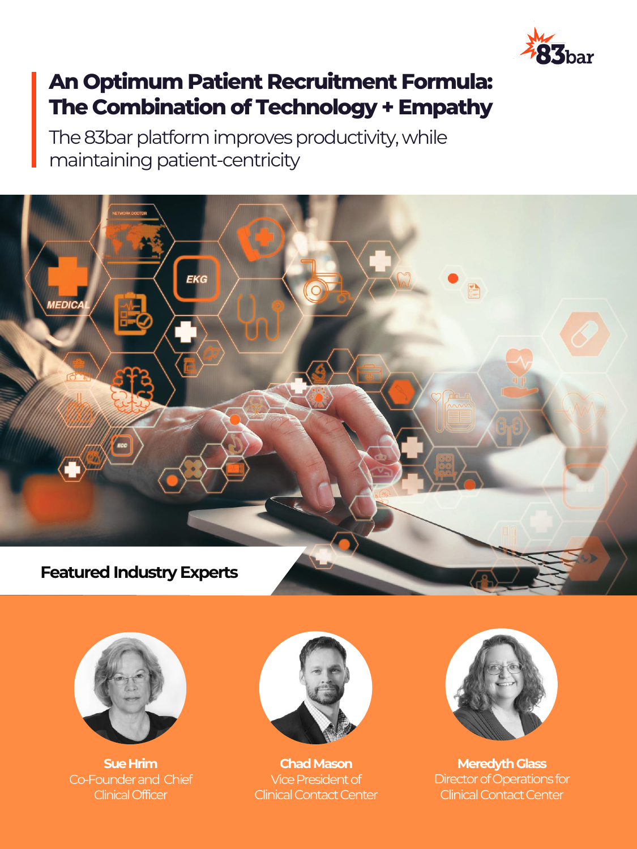

### **An Optimum Patient Recruitment Formula: The Combination of Technology + Empathy**

The 83bar platform improves productivity, while maintaining patient-centricity



![](_page_0_Picture_4.jpeg)

**Sue Hrim** Co-Founder and Chief ClinicalOfficer

![](_page_0_Picture_6.jpeg)

**Chad Mason** Vice President of Clinical Contact Center

![](_page_0_Picture_8.jpeg)

**Meredyth Glass** Director of Operations for Clinical Contact Center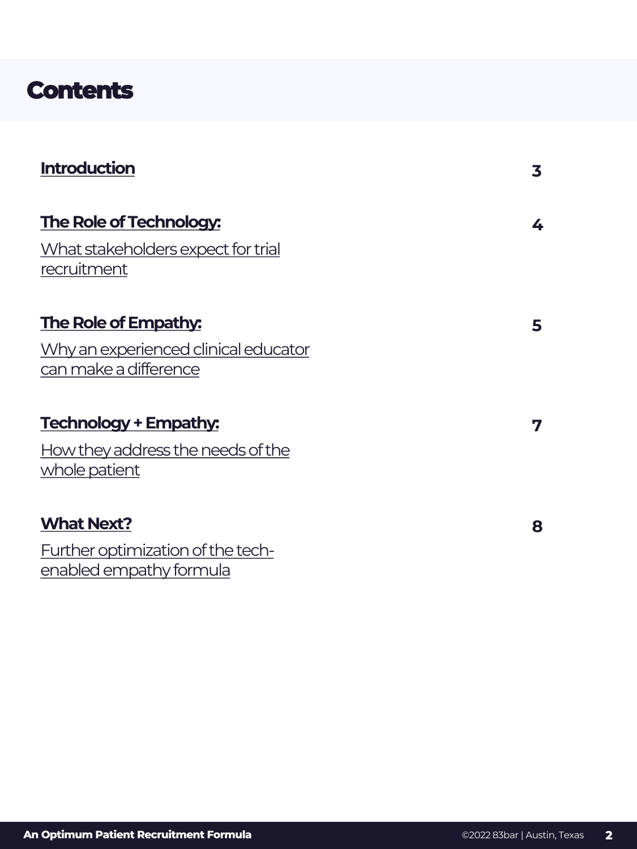### **Contents**

| <b>Introduction</b>                                           | 3 |
|---------------------------------------------------------------|---|
| The Role of Technology:                                       | 4 |
| What stakeholders expect for trial<br>recruitment             |   |
| <b>The Role of Empathy:</b>                                   | 5 |
| Why an experienced clinical educator<br>can make a difference |   |
| <b>Technology + Empathy:</b>                                  | 7 |
| How they address the needs of the<br>whole patient            |   |
| <b>What Next?</b>                                             | 8 |
| Further optimization of the tech-<br>enabled empathy formula  |   |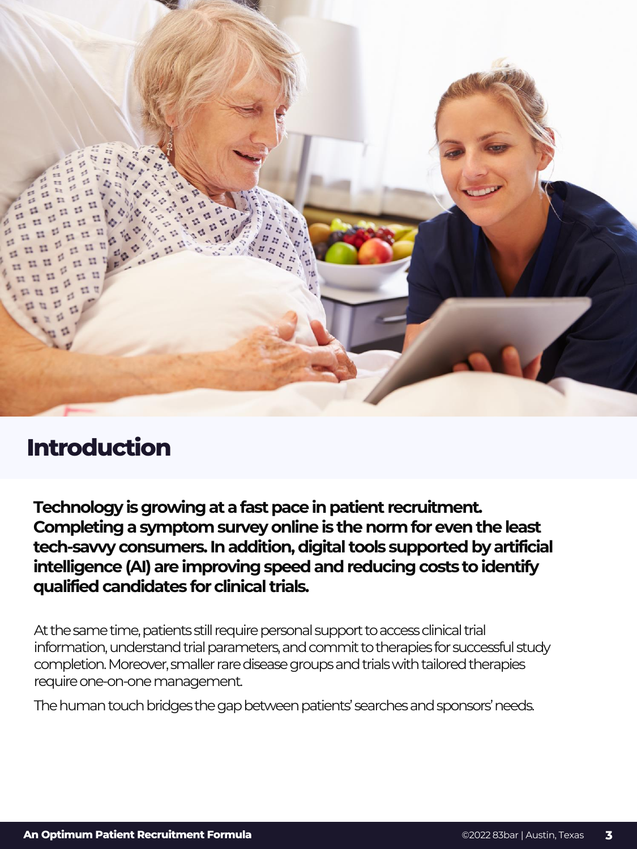<span id="page-2-0"></span>![](_page_2_Picture_0.jpeg)

# **Introduction Introduction**

**Technology is growing at a fast pace in patient recruitment. Completing a symptom survey online is the norm for even the least tech-savvy consumers. In addition, digital tools supported by artificial intelligence (AI) are improving speed and reducing costs to identify qualified candidates for clinical trials.**

At the same time, patients still require personal support to access clinical trial information, understand trial parameters, and commit to therapies for successful study completion. Moreover, smaller rare disease groups and trials with tailored therapies require one-on-one management.

The human touch bridges the gap between patients' searches and sponsors' needs.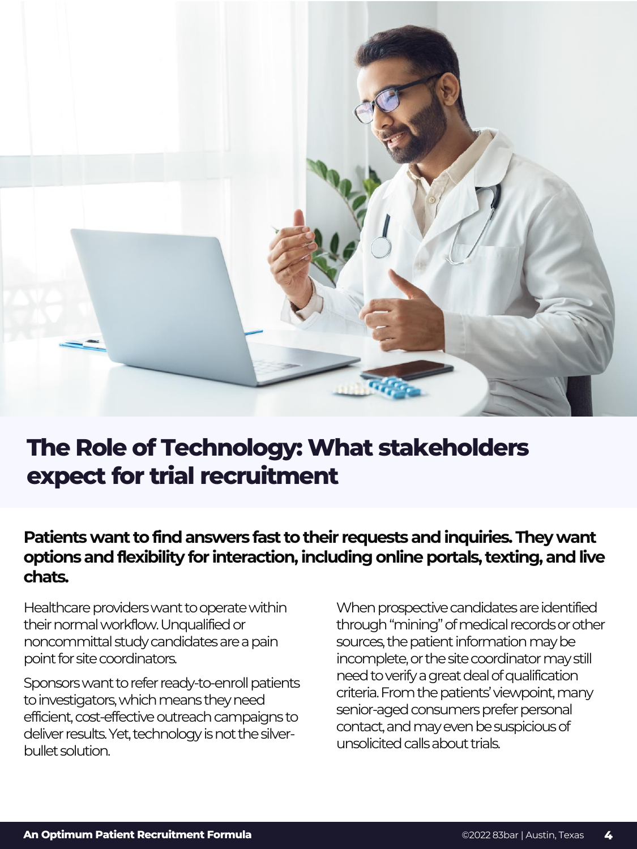<span id="page-3-0"></span>![](_page_3_Picture_0.jpeg)

### **The Role of Technology: What stakeholders expect for trial recruitment**

### **Patients want to find answers fast to their requests and inquiries. They want options and flexibility for interaction, including online portals, texting, and live chats.**

Healthcare providers want to operate within their normal workflow. Unqualified or noncommittal study candidates are a pain point for site coordinators.

Sponsors want to refer ready-to-enroll patients to investigators, which means they need efficient, cost-effective outreach campaigns to deliver results. Yet, technology is not the silverbullet solution.

When prospective candidates are identified through "mining" of medical records or other sources, the patient information may be incomplete, or the site coordinator may still need to verify a great deal of qualification criteria. From the patients' viewpoint, many senior-aged consumers prefer personal contact, and may even be suspicious of unsolicited calls about trials.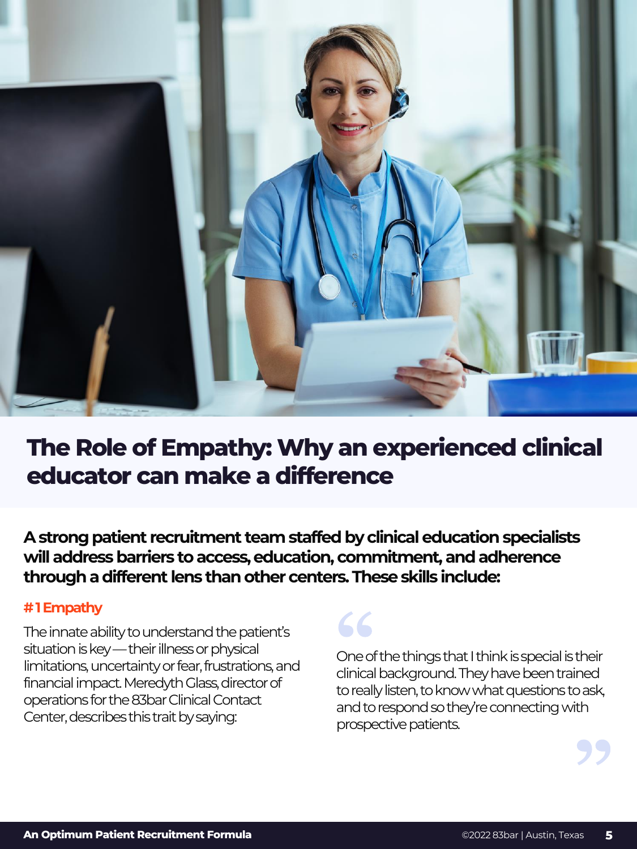<span id="page-4-0"></span>![](_page_4_Picture_0.jpeg)

### **The Role of Empathy: Why an experienced clinical educator can make a difference**

**A strong patient recruitment team staffed by clinical education specialists will address barriers to access, education, commitment, and adherence through a different lens than other centers. These skills include:** 

#### **# 1 Empathy**

The innate ability to understand the patient's situation is key —their illness or physical limitations, uncertainty or fear, frustrations, and financial impact. Meredyth Glass, director of operations for the 83bar Clinical Contact Center, describes this trait by saying:

66

One of the things that I think is special is their clinical background. They have been trained to really listen, to know what questions to ask, and to respond so they're connecting with prospective patients.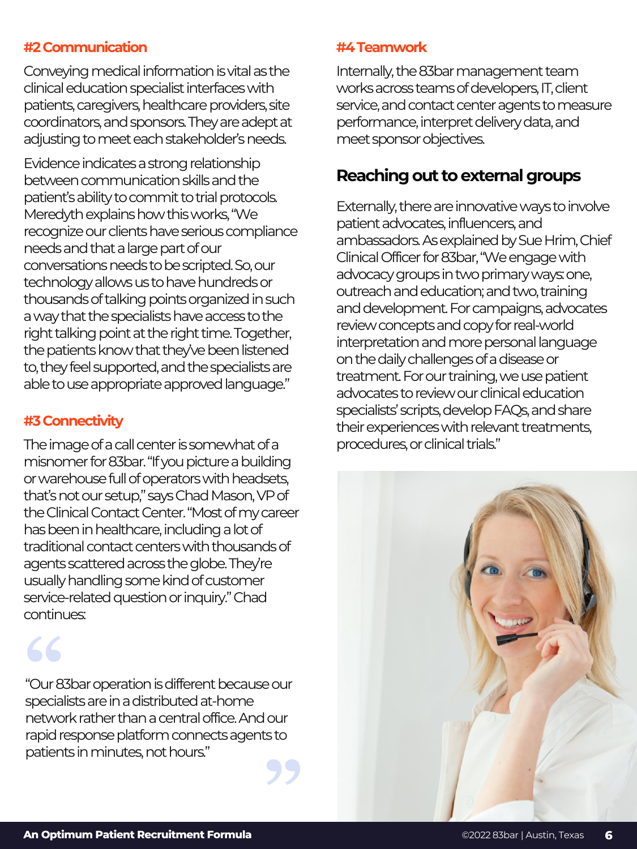#### **#2 Communication**

Conveying medical information is vital as the clinical education specialist interfaces with patients, caregivers, healthcare providers, site coordinators, and sponsors. They are adept at adjusting to meet each stakeholder's needs.

Evidence indicates a strong relationship between communication skills and the patient's ability to commit to trial protocols. Meredyth explains how this works, "We recognize our clients have serious compliance needs and that a large part of our conversations needs to be scripted. So, our technology allows us to have hundreds or thousands of talking points organized in such a way that the specialists have access to the right talking point at the right time. Together, the patients know that they've been listened to, they feel supported, and the specialists are able to use appropriate approved language."

#### **#3 Connectivity**

The image of a call center is somewhat of a misnomer for 83bar. "If you picture a building or warehouse full of operators with headsets, that's not our setup," says Chad Mason, VP of the Clinical Contact Center. "Most of my career has been in healthcare, including a lot of traditional contact centers with thousands of agents scattered across the globe. They're usually handling some kind of customer service-related question or inquiry." Chad continues:

"Our 83bar operation is different because our specialists are in a distributed at-home network rather than a central office. And our rapid response platform connects agents to patients in minutes, not hours."

#### **#4 Teamwork**

Internally, the 83bar management team works across teams of developers, IT, client service, and contact center agents to measure performance, interpret delivery data, and meet sponsor objectives.

#### **Reaching out to external groups**

Externally, there are innovative ways to involve patient advocates, influencers, and ambassadors. As explained by Sue Hrim, Chief Clinical Officer for 83bar, "We engage with advocacy groups in two primary ways: one, outreach and education; and two, training and development. For campaigns, advocates review concepts and copy for real-world interpretation and more personal language on the daily challenges of a disease or treatment. For our training, we use patient advocates to review our clinical education specialists' scripts, develop FAQs, and share their experiences with relevant treatments, procedures, or clinical trials."

![](_page_5_Picture_11.jpeg)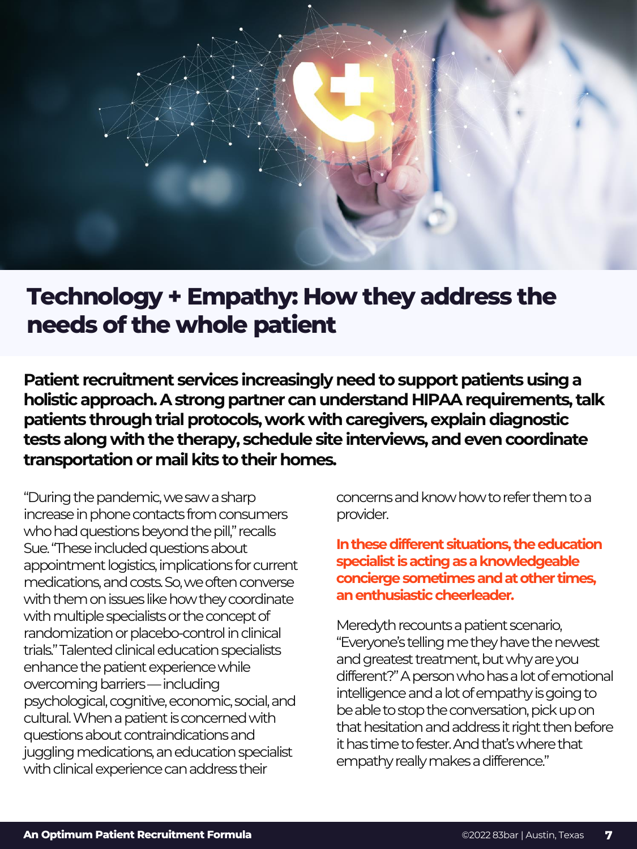<span id="page-6-0"></span>![](_page_6_Picture_0.jpeg)

### **Technology + Empathy: How they address the needs of the whole patient**

**Patient recruitment services increasingly need to support patients using a holistic approach. A strong partner can understand HIPAA requirements, talk patients through trial protocols, work with caregivers, explain diagnostic tests along with the therapy, schedule site interviews, and even coordinate transportation or mail kits to their homes.**

"During the pandemic, we saw a sharp increase in phone contacts from consumers who had questions beyond the pill," recalls Sue. "These included questions about appointment logistics, implications for current medications, and costs. So, we often converse with them on issues like how they coordinate with multiple specialists or the concept of randomization or placebo-control in clinical trials." Talented clinical education specialists enhance the patient experience while overcoming barriers —including psychological, cognitive, economic, social, and cultural. When a patient is concerned with questions about contraindications and juggling medications, an education specialist with clinical experience can address their

concerns and know how to refer them to a provider.

**In these different situations, the education specialist is acting as a knowledgeable concierge sometimes and at other times, an enthusiastic cheerleader.** 

Meredyth recounts a patient scenario, "Everyone's telling me they have the newest and greatest treatment, but why are you different?" A person who has a lot of emotional intelligence and a lot of empathy is going to be able to stop the conversation, pick up on that hesitation and address it right then before it has time to fester. And that's where that empathy really makes a difference."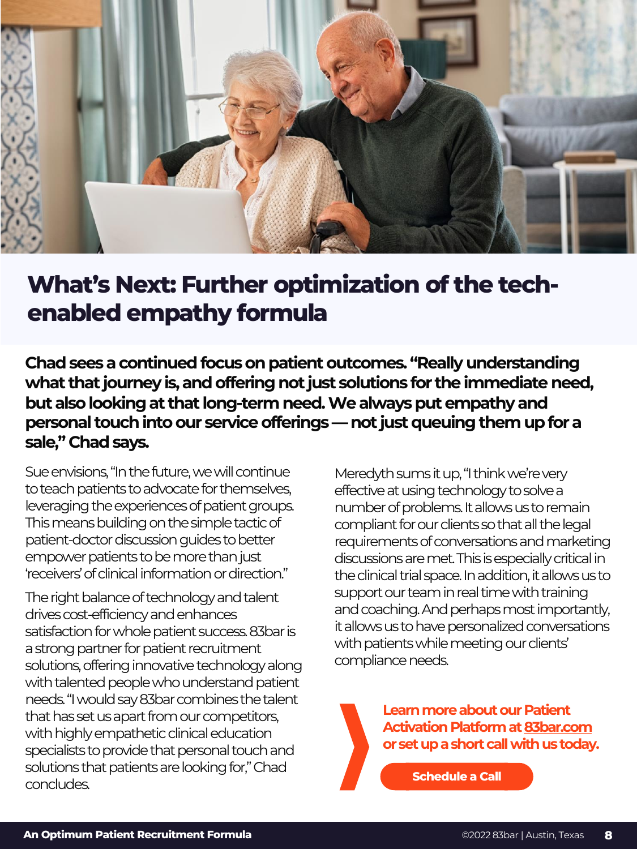<span id="page-7-0"></span>![](_page_7_Picture_0.jpeg)

## **What's Next: Further optimization of the techenabled empathy formula**

**Chad sees a continued focus on patient outcomes. "Really understanding what that journey is, and offering not just solutions for the immediate need, but also looking at that long-term need. We always put empathy and personal touch into our service offerings —not just queuing them up for a sale," Chad says.**

Sue envisions, "In the future, we will continue to teach patients to advocate for themselves, leveraging the experiences of patient groups. This means building on the simple tactic of patient-doctor discussion guides to better empower patients to be more than just 'receivers' of clinical information or direction."

The right balance of technology and talent drives cost-efficiency and enhances satisfaction for whole patient success. 83bar is a strong partner for patient recruitment solutions, offering innovative technology along with talented people who understand patient needs. "I would say 83bar combines the talent that has set us apart from our competitors, with highly empathetic clinical education specialists to provide that personal touch and solutions that patients are looking for," Chad concludes.

Meredyth sums it up, "I think we're very effective at using technology to solve a number of problems. It allows us to remain compliant for our clients so that all the legal requirements of conversations and marketing discussions are met. This is especially critical in the clinical trial space. In addition, it allows us to support our team in real time with training and coaching. And perhaps most importantly, it allows us to have personalized conversations with patients while meeting our clients' compliance needs.

> **Learn more about our Patient Activation Platform at [83bar.com](https://www.83bar.com/)  or set up a short call with us today.**

> > **[Schedule a Call](https://calendly.com/83bar_intro_call/30min?month=2022-02)**